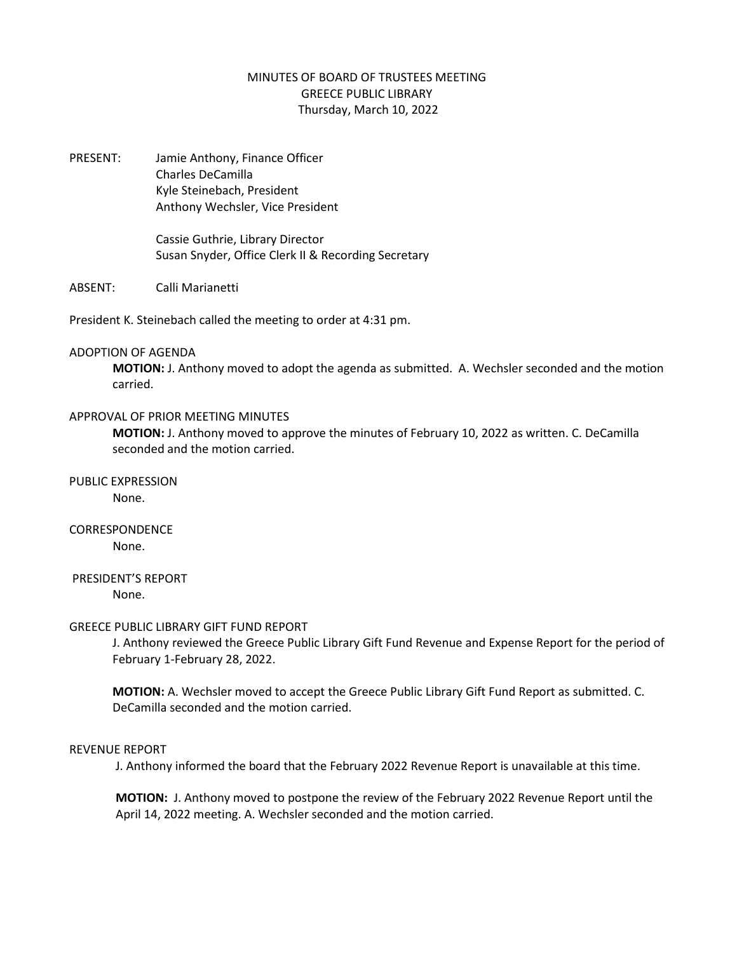# MINUTES OF BOARD OF TRUSTEES MEETING GREECE PUBLIC LIBRARY Thursday, March 10, 2022

PRESENT: Jamie Anthony, Finance Officer Charles DeCamilla Kyle Steinebach, President Anthony Wechsler, Vice President

> Cassie Guthrie, Library Director Susan Snyder, Office Clerk II & Recording Secretary

ABSENT: Calli Marianetti

President K. Steinebach called the meeting to order at 4:31 pm.

### ADOPTION OF AGENDA

**MOTION:** J. Anthony moved to adopt the agenda as submitted. A. Wechsler seconded and the motion carried.

## APPROVAL OF PRIOR MEETING MINUTES

**MOTION:** J. Anthony moved to approve the minutes of February 10, 2022 as written. C. DeCamilla seconded and the motion carried.

PUBLIC EXPRESSION None.

# CORRESPONDENCE None.

PRESIDENT'S REPORT

None.

### GREECE PUBLIC LIBRARY GIFT FUND REPORT

J. Anthony reviewed the Greece Public Library Gift Fund Revenue and Expense Report for the period of February 1-February 28, 2022.

**MOTION:** A. Wechsler moved to accept the Greece Public Library Gift Fund Report as submitted. C. DeCamilla seconded and the motion carried.

### REVENUE REPORT

J. Anthony informed the board that the February 2022 Revenue Report is unavailable at this time.

**MOTION:** J. Anthony moved to postpone the review of the February 2022 Revenue Report until the April 14, 2022 meeting. A. Wechsler seconded and the motion carried.